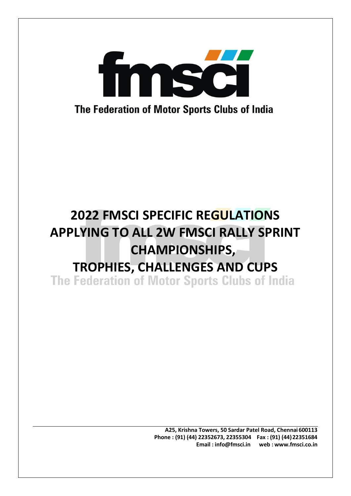

**A25, Krishna Towers, 50 Sardar Patel Road, Chennai 600113 Phone : (91) (44) 22352673, 22355304 Fax : (91) (44)22351684 Email : [info@fmsci.in](mailto:info@fmsci.in) web : [www.fmsci.co.in](http://www.fmsci.co.in/)**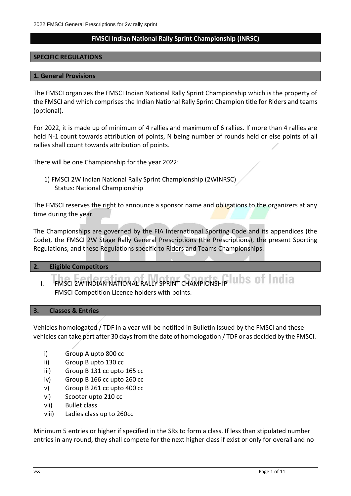## **FMSCI Indian National Rally Sprint Championship (INRSC)**

## **SPECIFIC REGULATIONS**

#### **1. General Provisions**

The FMSCI organizes the FMSCI Indian National Rally Sprint Championship which is the property of the FMSCI and which comprisesthe Indian National Rally Sprint Champion title for Riders and teams (optional).

For 2022, it is made up of minimum of 4 rallies and maximum of 6 rallies. If more than 4 rallies are held N-1 count towards attribution of points, N being number of rounds held or else points of all rallies shall count towards attribution of points.

There will be one Championship for the year 2022:

1) FMSCI 2W Indian National Rally Sprint Championship (2WINRSC) Status: National Championship

The FMSCI reserves the right to announce a sponsor name and obligations to the organizers at any time during the year.

The Championships are governed by the FIA International Sporting Code and its appendices (the Code), the FMSCI 2W Stage Rally General Prescriptions (the Prescriptions), the present Sporting Regulations, and these Regulations specific to Riders and Teams Championships.

## **2. Eligible Competitors**

I. FMSCI 2W INDIAN NATIONAL RALLY SPRINT CHAMPIONSHIP U. D.S. OF FINAL A FMSCI Competition Licence holders with points.

## **3. Classes & Entries**

Vehicles homologated / TDF in a year will be notified in Bulletin issued by the FMSCI and these vehicles can take part after 30 days from the date of homologation / TDF or as decided by the FMSCI.

- i) Group A upto 800 cc
- ii) Group B upto 130 cc
- iii) Group B 131 cc upto 165 cc
- iv) Group B 166 cc upto 260 cc
- v) Group B 261 cc upto 400 cc
- vi) Scooter upto 210 cc
- vii) Bullet class
- viii) Ladies class up to 260cc

Minimum 5 entries or higher if specified in the SRs to form a class. If less than stipulated number entries in any round, they shall compete for the next higher class if exist or only for overall and no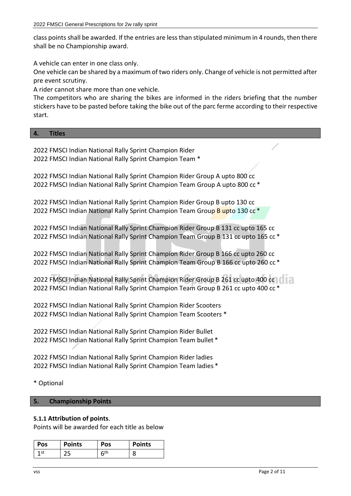class points shall be awarded. If the entries are less than stipulated minimum in 4 rounds, then there shall be no Championship award.

A vehicle can enter in one class only.

One vehicle can be shared by a maximum of two riders only. Change of vehicle is not permitted after pre event scrutiny.

A rider cannot share more than one vehicle.

The competitors who are sharing the bikes are informed in the riders briefing that the number stickers have to be pasted before taking the bike out of the parc ferme according to their respective start.

## **4. Titles**

2022 FMSCI Indian National Rally Sprint Champion Rider 2022 FMSCI Indian National Rally Sprint Champion Team \*

2022 FMSCI Indian National Rally Sprint Champion Rider Group A upto 800 cc 2022 FMSCI Indian National Rally Sprint Champion Team Group A upto 800 cc \*

2022 FMSCI Indian National Rally Sprint Champion Rider Group B upto 130 cc 2022 FMSCI Indian National Rally Sprint Champion Team Group B upto 130 cc<sup>\*</sup>

2022 FMSCI Indian National Rally Sprint Champion Rider Group B 131 cc upto 165 cc 2022 FMSCI Indian National Rally Sprint Champion Team Group B 131 cc upto 165 cc \*

2022 FMSCI Indian National Rally Sprint Champion Rider Group B 166 cc upto 260 cc 2022 FMSCI Indian National Rally Sprint Champion Team Group B 166 cc upto 260 cc \*

2022 FMSCI Indian National Rally Sprint Champion Rider Group B 261 cc upto 400 cc | | | | | 2022 FMSCI Indian National Rally Sprint Champion Team Group B 261 cc upto 400 cc \*

2022 FMSCI Indian National Rally Sprint Champion Rider Scooters 2022 FMSCI Indian National Rally Sprint Champion Team Scooters \*

2022 FMSCI Indian National Rally Sprint Champion Rider Bullet 2022 FMSCI Indian National Rally Sprint Champion Team bullet \*

2022 FMSCI Indian National Rally Sprint Champion Rider ladies 2022 FMSCI Indian National Rally Sprint Champion Team ladies \*

\* Optional

## **5. Championship Points**

## **5.1.1 Attribution of points**.

Points will be awarded for each title as below

| <b>Pos</b> | <b>Points</b> | Pos          | <b>Points</b> |
|------------|---------------|--------------|---------------|
| 1 st       |               | $6^{\sf th}$ | о             |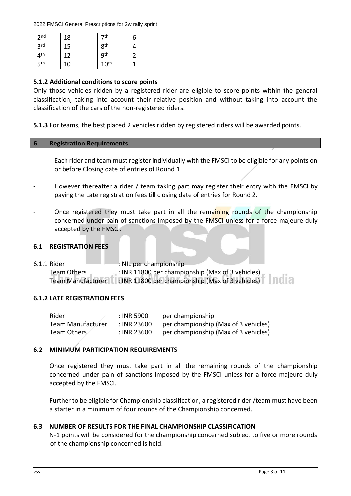| 2 <sub>nd</sub> | 18 | 7 <sup>th</sup>  | b |
|-----------------|----|------------------|---|
| 3 <sup>rd</sup> | 15 | 8 <sup>th</sup>  |   |
| 4 <sup>th</sup> | 12 | <b>9th</b>       |   |
| 5 <sup>th</sup> | 10 | 10 <sup>th</sup> |   |

## **5.1.2 Additional conditions to score points**

Only those vehicles ridden by a registered rider are eligible to score points within the general classification, taking into account their relative position and without taking into account the classification of the cars of the non-registered riders.

**5.1.3** For teams, the best placed 2 vehicles ridden by registered riders will be awarded points.

## **6. Registration Requirements**

- Each rider and team must register individually with the FMSCI to be eligible for any points on or before Closing date of entries of Round 1
- However thereafter a rider / team taking part may register their entry with the FMSCI by paying the Late registration fees till closing date of entries for Round 2.
- Once registered they must take part in all the remaining rounds of the championship concerned under pain of sanctions imposed by the FMSCI unless for a force-majeure duly accepted by the FMSCI.

## **6.1 REGISTRATION FEES**

6.1.1 Rider : NIL per championship Team Others : INR 11800 per championship (Max of 3 vehicles) Team Manufacturer : INR 11800 per championship (Max of 3 vehicles)

## **6.1.2 LATE REGISTRATION FEES**

| Rider                    | : INR 5900  | per championship                     |
|--------------------------|-------------|--------------------------------------|
| <b>Team Manufacturer</b> | : INR 23600 | per championship (Max of 3 vehicles) |
| Team Others              | : INR 23600 | per championship (Max of 3 vehicles) |

## **6.2 MINIMUM PARTICIPATION REQUIREMENTS**

Once registered they must take part in all the remaining rounds of the championship concerned under pain of sanctions imposed by the FMSCI unless for a force-majeure duly accepted by the FMSCI.

Further to be eligible for Championship classification, a registered rider/team must have been a starter in a minimum of four rounds of the Championship concerned.

## **6.3 NUMBER OF RESULTS FOR THE FINAL CHAMPIONSHIP CLASSIFICATION**

N-1 points will be considered for the championship concerned subject to five or more rounds of the championship concerned is held.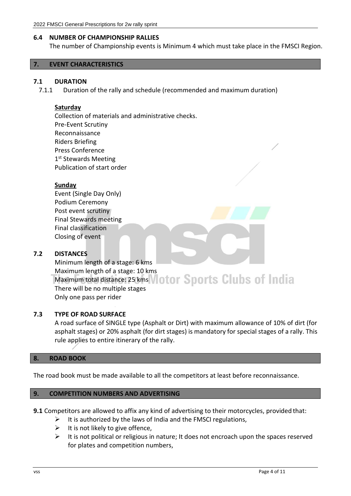## **6.4 NUMBER OF CHAMPIONSHIP RALLIES**

The number of Championship events is Minimum 4 which must take place in the FMSCI Region.

#### **7. EVENT CHARACTERISTICS**

#### **7.1 DURATION**

7.1.1 Duration of the rally and schedule (recommended and maximum duration)

#### **Saturday**

Collection of materials and administrative checks. Pre-Event Scrutiny Reconnaissance Riders Briefing Press Conference 1<sup>st</sup> Stewards Meeting Publication of start order

## **Sunday**

Event (Single Day Only) Podium Ceremony Post event scrutiny Final Stewards meeting Final classification Closing of event

## **7.2 DISTANCES**

Minimum length of a stage: 6 kms Maximum length of a stage: 10 kms Maximum total distance: 25 kms *Notor* Sports Clubs of India There will be no multiple stages Only one pass per rider

## **7.3 TYPE OF ROAD SURFACE**

A road surface of SINGLE type (Asphalt or Dirt) with maximum allowance of 10% of dirt (for asphalt stages) or 20% asphalt (for dirt stages) is mandatory for special stages of a rally. This rule applies to entire itinerary of the rally.

## **8. ROAD BOOK**

The road book must be made available to all the competitors at least before reconnaissance.

#### **9. COMPETITION NUMBERS AND ADVERTISING**

**9.1** Competitors are allowed to affix any kind of advertising to their motorcycles, provided that:

- $\triangleright$  It is authorized by the laws of India and the FMSCI regulations,
- $\triangleright$  It is not likely to give offence,
- $\triangleright$  It is not political or religious in nature; It does not encroach upon the spaces reserved for plates and competition numbers,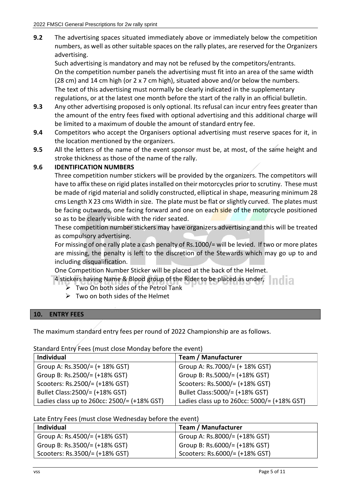**9.2** The advertising spaces situated immediately above or immediately below the competition numbers, as well as other suitable spaces on the rally plates, are reserved for the Organizers advertising.

Such advertising is mandatory and may not be refused by the competitors/entrants. On the competition number panels the advertising must fit into an area of the same width (28 cm) and 14 cm high (or 2 x 7 cm high), situated above and/or below the numbers. The text of this advertising must normally be clearly indicated in the supplementary regulations, or at the latest one month before the start of the rally in an official bulletin.

- **9.3** Any other advertising proposed is only optional. Its refusal can incur entry fees greater than the amount of the entry fees fixed with optional advertising and this additional charge will be limited to a maximum of double the amount of standard entry fee.
- **9.4** Competitors who accept the Organisers optional advertising must reserve spaces for it, in the location mentioned by the organizers.
- **9.5** All the letters of the name of the event sponsor must be, at most, of the same height and stroke thickness as those of the name of the rally.

## **9.6 IDENTIFICATION NUMBERS**

Three competition number stickers will be provided by the organizers. The competitors will have to affix these on rigid plates installed on their motorcycles prior to scrutiny. These must be made of rigid material and solidly constructed, elliptical in shape, measuring minimum 28 cms Length X 23 cms Width in size. The plate must be flat orslightly curved. The plates must be facing outwards, one facing forward and one on each side of the motorcycle positioned so as to be clearly visible with the rider seated.

These competition number stickers may have organizers advertising and this will be treated as compulsory advertising.

For missing of one rally plate a cash penalty of Rs.1000/= will be levied. If two or more plates are missing, the penalty is left to the discretion of the Stewards which may go up to and including disqualification.

One Competition Number Sticker will be placed at the back of the Helmet.

4 stickers having Name & Blood group of the Rider to be placed as under, and i a

- ➢ Two On both sides of the Petrol Tank
- $\triangleright$  Two on both sides of the Helmet

## **10. ENTRY FEES**

The maximum standard entry fees per round of 2022 Championship are as follows.

## Standard Entry Fees (must close Monday before the event)

| <b>Individual</b>                                                | <b>Team / Manufacturer</b>                  |
|------------------------------------------------------------------|---------------------------------------------|
| Group A: Rs.3500/= (+ 18% GST)                                   | Group A: Rs.7000/= (+ 18% GST)              |
| Group B: Rs.2500/= (+18% GST)                                    | Group B: Rs.5000/= (+18% GST)               |
| Scooters: Rs.2500/= (+18% GST)                                   | Scooters: Rs.5000/= (+18% GST)              |
| Bullet Class: 2500/ = (+18% GST)                                 | Bullet Class: 5000/ = (+18% GST)            |
| Ladies class up to 260cc: $2500/=\left(+18\% \text{ GST}\right)$ | Ladies class up to 260cc: 5000/= (+18% GST) |

Late Entry Fees (must close Wednesday before the event)

| <b>Individual</b>              | <b>Team / Manufacturer</b>     |
|--------------------------------|--------------------------------|
| Group A: Rs.4500/= (+18% GST)  | Group A: Rs.8000/= (+18% GST)  |
| Group B: Rs.3500/= (+18% GST)  | Group B: Rs.6000/= (+18% GST)  |
| Scooters: Rs.3500/= (+18% GST) | Scooters: Rs.6000/= (+18% GST) |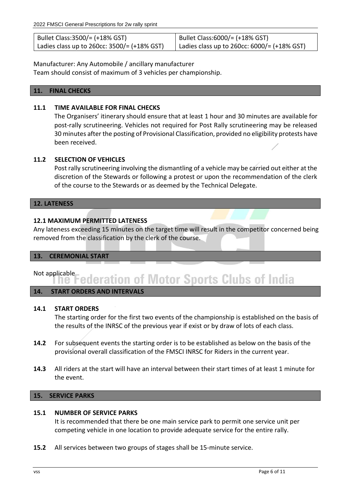| Bullet Class:3500/= (+18% GST)                        | Bullet Class:6000/= (+18% GST)                        |
|-------------------------------------------------------|-------------------------------------------------------|
| Ladies class up to 260cc: $3500/=(+18\% \text{ GST})$ | Ladies class up to 260cc: $6000/=(+18\% \text{ GST})$ |

Manufacturer: Any Automobile / ancillary manufacturer

Team should consist of maximum of 3 vehicles per championship.

## **11. FINAL CHECKS**

## **11.1 TIME AVAILABLE FOR FINAL CHECKS**

The Organisers' itinerary should ensure that at least 1 hour and 30 minutes are available for post-rally scrutineering. Vehicles not required for Post Rally scrutineering may be released 30 minutes after the posting of Provisional Classification, provided no eligibility protests have been received.

## **11.2 SELECTION OF VEHICLES**

Post rally scrutineering involving the dismantling of a vehicle may be carried out either at the discretion of the Stewards or following a protest or upon the recommendation of the clerk of the course to the Stewards or as deemed by the Technical Delegate.

## **12. LATENESS**

## **12.1 MAXIMUM PERMITTED LATENESS**

Any lateness exceeding 15 minutes on the target time will result in the competitor concerned being removed from the classification by the clerk of the course.

## **13. CEREMONIAL START**

# Not applicable<br>**Notion 2018** The Federation of Motor Sports Clubs of India

## **14. START ORDERS AND INTERVALS**

## **14.1 START ORDERS**

The starting order for the first two events of the championship is established on the basis of the results of the INRSC of the previous year if exist or by draw of lots of each class.

- **14.2** For subsequent events the starting order is to be established as below on the basis of the provisional overall classification of the FMSCI INRSC for Riders in the current year.
- **14.3** All riders at the start will have an interval between their start times of at least 1 minute for the event.

## **15. SERVICE PARKS**

## **15.1 NUMBER OF SERVICE PARKS**

It is recommended that there be one main service park to permit one service unit per competing vehicle in one location to provide adequate service for the entire rally.

**15.2** All services between two groups of stages shall be 15-minute service.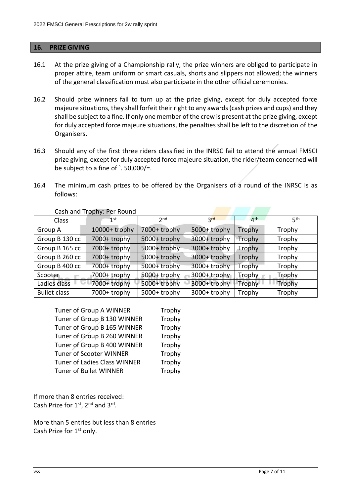#### **16. PRIZE GIVING**

- 16.1 At the prize giving of a Championship rally, the prize winners are obliged to participate in proper attire, team uniform or smart casuals, shorts and slippers not allowed; the winners of the general classification must also participate in the other official ceremonies.
- 16.2 Should prize winners fail to turn up at the prize giving, except for duly accepted force majeure situations, they shall forfeit their right to any awards (cash prizes and cups) and they shall be subject to a fine. If only one member of the crew is present at the prize giving, except for duly accepted force majeure situations, the penalties shall be left to the discretion of the Organisers.
- 16.3 Should any of the first three riders classified in the INRSC fail to attend the annual FMSCI prize giving, except for duly accepted force majeure situation, the rider/team concerned will be subject to a fine of  $\cdot$  50,000/=.
- 16.4 The minimum cash prizes to be offered by the Organisers of a round of the INRSC is as follows:

| Class               | $1$ st          | 2 <sub>nd</sub> | 2rd          | $\mathbf{A}^{\text{th}}$ | 5 <sup>th</sup> |
|---------------------|-----------------|-----------------|--------------|--------------------------|-----------------|
| Group A             | $10000+$ trophy | 7000+ trophy    | 5000+ trophy | Trophy                   | Trophy          |
| Group B 130 cc      | 7000+ trophy    | 5000+ trophy    | 3000+ trophy | Trophy                   | Trophy          |
| Group B 165 cc      | 7000+ trophy    | 5000+ trophy    | 3000+ trophy | Trophy                   | Trophy          |
| Group B 260 cc      | 7000+ trophy    | 5000+ trophy    | 3000+ trophy | Trophy                   | Trophy          |
| Group B 400 cc      | 7000+ trophy    | 5000+ trophy    | 3000+ trophy | Trophy                   | Trophy          |
| Scooter             | 7000+ trophy    | 5000+ trophy    | 3000+ trophy | Trophy                   | Trophy          |
| Ladies class        | 7000+ trophy    | 5000+ trophy    | 3000+ trophy | Trophy                   | Trophy          |
| <b>Bullet class</b> | 7000+ trophy    | 5000+ trophy    | 3000+ trophy | Trophy                   | Trophy          |

Cash and Trophy: Per Round

| Tuner of Group A WINNER        | Trophy |
|--------------------------------|--------|
| Tuner of Group B 130 WINNER    | Trophy |
| Tuner of Group B 165 WINNER    | Trophy |
| Tuner of Group B 260 WINNER    | Trophy |
| Tuner of Group B 400 WINNER    | Trophy |
| <b>Tuner of Scooter WINNER</b> | Trophy |
| Tuner of Ladies Class WINNER   | Trophy |
| Tuner of Bullet WINNER         | Trophy |

If more than 8 entries received: Cash Prize for  $1<sup>st</sup>$ ,  $2<sup>nd</sup>$  and  $3<sup>rd</sup>$ .

More than 5 entries but less than 8 entries Cash Prize for 1<sup>st</sup> only.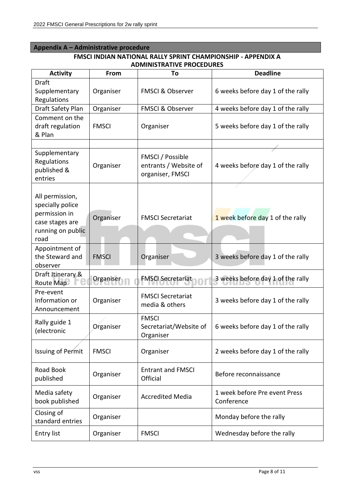## **Appendix A – Administrative procedure**

## **FMSCI INDIAN NATIONAL RALLY SPRINT CHAMPIONSHIP - APPENDIX A ADMINISTRATIVE PROCEDURES**

| <b>Activity</b>                                                                                      | From         | To                                                            | <b>Deadline</b>                             |
|------------------------------------------------------------------------------------------------------|--------------|---------------------------------------------------------------|---------------------------------------------|
| Draft<br>Supplementary<br>Regulations                                                                | Organiser    | <b>FMSCI &amp; Observer</b>                                   | 6 weeks before day 1 of the rally           |
| Draft Safety Plan                                                                                    | Organiser    | <b>FMSCI &amp; Observer</b>                                   | 4 weeks before day 1 of the rally           |
| Comment on the<br>draft regulation<br>& Plan                                                         | <b>FMSCI</b> | Organiser                                                     | 5 weeks before day 1 of the rally           |
|                                                                                                      |              |                                                               |                                             |
| Supplementary<br>Regulations<br>published &<br>entries                                               | Organiser    | FMSCI / Possible<br>entrants / Website of<br>organiser, FMSCI | 4 weeks before day 1 of the rally           |
| All permission,<br>specially police<br>permission in<br>case stages are<br>running on public<br>road | Organiser    | <b>FMSCI Secretariat</b>                                      | 1 week before day 1 of the rally            |
| Appointment of<br>the Steward and<br>observer                                                        | <b>FMSCI</b> | Organiser                                                     | 3 weeks before day 1 of the rally           |
| Draft Itinerary &<br>Route Map                                                                       | Organiser    | <b>FMSCI Secretariat</b>                                      | 3 weeks before day 1 of the rally           |
| Pre-event<br>Information or<br>Announcement                                                          | Organiser    | <b>FMSCI Secretariat</b><br>media & others                    | 3 weeks before day 1 of the rally           |
| Rally guide 1<br>(electronic                                                                         | Organiser    | <b>FMSCI</b><br>Secretariat/Website of<br>Organiser           | 6 weeks before day 1 of the rally           |
| <b>Issuing of Permit</b>                                                                             | <b>FMSCI</b> | Organiser                                                     | 2 weeks before day 1 of the rally           |
| Road Book<br>published                                                                               | Organiser    | <b>Entrant and FMSCI</b><br>Official                          | Before reconnaissance                       |
| Media safety<br>book published                                                                       | Organiser    | <b>Accredited Media</b>                                       | 1 week before Pre event Press<br>Conference |
| Closing of<br>standard entries                                                                       | Organiser    |                                                               | Monday before the rally                     |
| <b>Entry list</b>                                                                                    | Organiser    | <b>FMSCI</b>                                                  | Wednesday before the rally                  |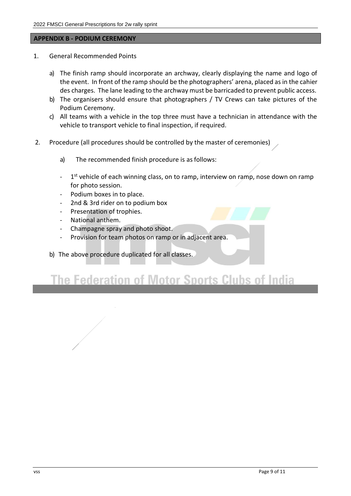#### **APPENDIX B - PODIUM CEREMONY**

- 1. General Recommended Points
	- a) The finish ramp should incorporate an archway, clearly displaying the name and logo of the event. In front of the ramp should be the photographers' arena, placed as in the cahier des charges. The lane leading to the archway must be barricaded to prevent public access.
	- b) The organisers should ensure that photographers / TV Crews can take pictures of the Podium Ceremony.
	- c) All teams with a vehicle in the top three must have a technician in attendance with the vehicle to transport vehicle to final inspection, if required.
- 2. Procedure (all procedures should be controlled by the master of ceremonies)
	- a) The recommended finish procedure is as follows:
	- 1<sup>st</sup> vehicle of each winning class, on to ramp, interview on ramp, nose down on ramp for photo session.
	- Podium boxes in to place.
	- 2nd & 3rd rider on to podium box
	- Presentation of trophies.
	- National anthem.
	- Champagne spray and photo shoot.
	- Provision for team photos on ramp or in adjacent area.
	- b) The above procedure duplicated for all classes.

## **The Federation of Motor Sports Clubs of India**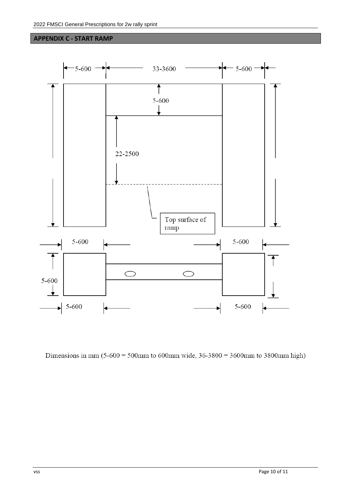#### **APPENDIX C - START RAMP**



Dimensions in mm  $(5-600) = 500$ mm to 600mm wide,  $36-3800 = 3600$ mm to 3800mm high)